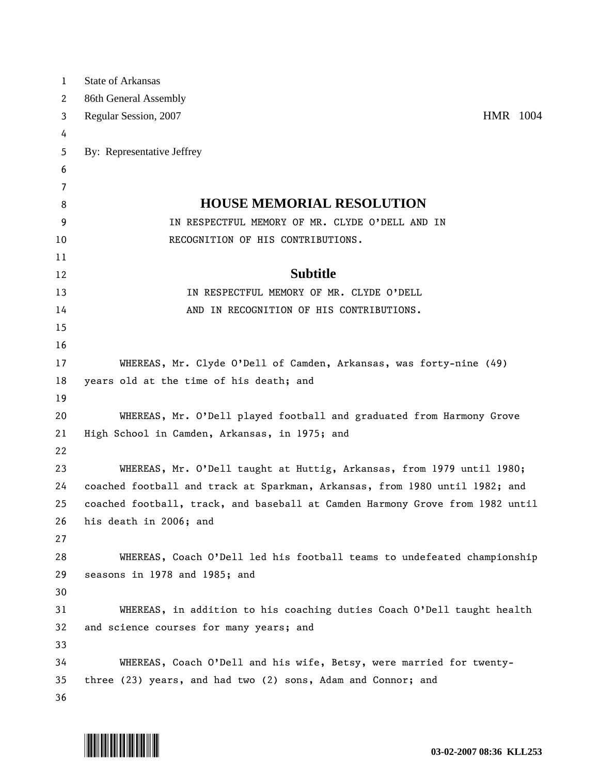| $\mathbf{1}$ | State of Arkansas                                                             |
|--------------|-------------------------------------------------------------------------------|
| 2            | 86th General Assembly                                                         |
| 3            | HMR 1004<br>Regular Session, 2007                                             |
| 4            |                                                                               |
| 5            | By: Representative Jeffrey                                                    |
| 6            |                                                                               |
| 7            |                                                                               |
| 8            | <b>HOUSE MEMORIAL RESOLUTION</b>                                              |
| 9            | IN RESPECTFUL MEMORY OF MR. CLYDE O'DELL AND IN                               |
| 10           | RECOGNITION OF HIS CONTRIBUTIONS.                                             |
| 11           |                                                                               |
| 12           | <b>Subtitle</b>                                                               |
| 13           | IN RESPECTFUL MEMORY OF MR. CLYDE O'DELL                                      |
| 14           | AND IN RECOGNITION OF HIS CONTRIBUTIONS.                                      |
| 15           |                                                                               |
| 16           |                                                                               |
| 17           | WHEREAS, Mr. Clyde O'Dell of Camden, Arkansas, was forty-nine (49)            |
| 18           | years old at the time of his death; and                                       |
| 19           |                                                                               |
| 20           | WHEREAS, Mr. O'Dell played football and graduated from Harmony Grove          |
| 21           | High School in Camden, Arkansas, in 1975; and                                 |
| 22           |                                                                               |
| 23           | WHEREAS, Mr. O'Dell taught at Huttig, Arkansas, from 1979 until 1980;         |
| 24           | coached football and track at Sparkman, Arkansas, from 1980 until 1982; and   |
| 25           | coached football, track, and baseball at Camden Harmony Grove from 1982 until |
| 26           | his death in 2006; and                                                        |
| 27           |                                                                               |
| 28           | WHEREAS, Coach O'Dell led his football teams to undefeated championship       |
| 29           | seasons in 1978 and 1985; and                                                 |
| 30           |                                                                               |
| 31           | WHEREAS, in addition to his coaching duties Coach O'Dell taught health        |
| 32           | and science courses for many years; and                                       |
| 33           |                                                                               |
| 34           | WHEREAS, Coach O'Dell and his wife, Betsy, were married for twenty-           |
| 35           | three (23) years, and had two (2) sons, Adam and Connor; and                  |
| 36           |                                                                               |